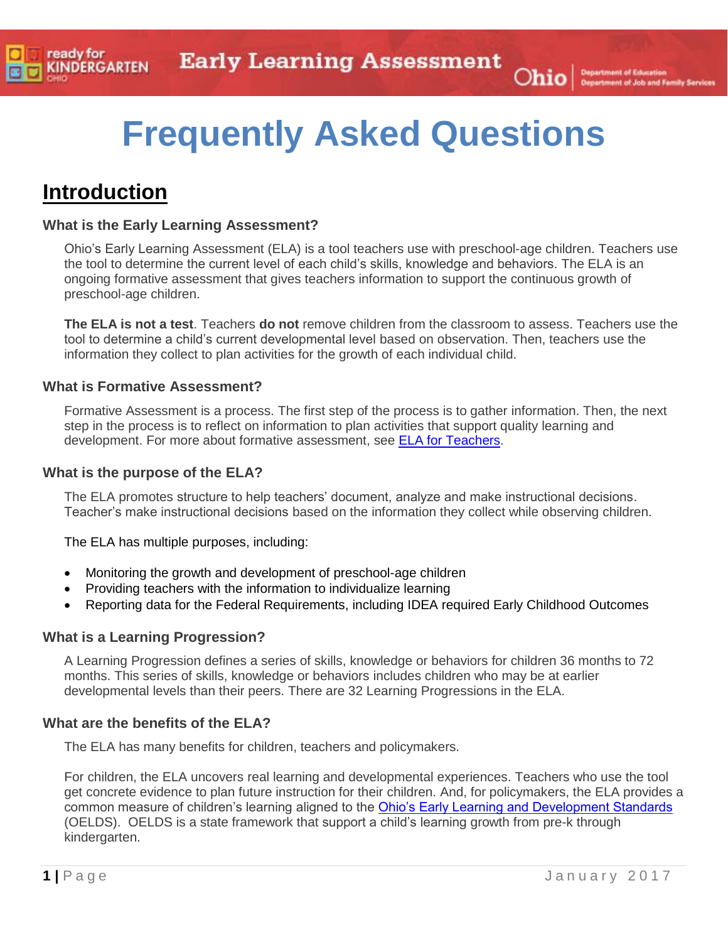# **Frequently Asked Questions**

### **Introduction**

#### **What is the Early Learning Assessment?**

Ohio's Early Learning Assessment (ELA) is a tool teachers use with preschool-age children. Teachers use the tool to determine the current level of each child's skills, knowledge and behaviors. The ELA is an ongoing formative assessment that gives teachers information to support the continuous growth of preschool-age children.

**The ELA is not a test**. Teachers **do not** remove children from the classroom to assess. Teachers use the tool to determine a child's current developmental level based on observation. Then, teachers use the information they collect to plan activities for the growth of each individual child.

#### **What is Formative Assessment?**

Formative Assessment is a process. The first step of the process is to gather information. Then, the next step in the process is to reflect on information to plan activities that support quality learning and development. For more about formative assessment, see ELA [for Teachers.](http://education.ohio.gov/Topics/Early-Learning/Kindergarten/Early-Learning-Assessment/Early-Learning-Assessment-for-Programs-1)

#### **What is the purpose of the ELA?**

The ELA promotes structure to help teachers' document, analyze and make instructional decisions. Teacher's make instructional decisions based on the information they collect while observing children.

The ELA has multiple purposes, including:

- Monitoring the growth and development of preschool-age children
- Providing teachers with the information to individualize learning
- Reporting data for the Federal Requirements, including IDEA required Early Childhood Outcomes

#### **What is a Learning Progression?**

A Learning Progression defines a series of skills, knowledge or behaviors for children 36 months to 72 months. This series of skills, knowledge or behaviors includes children who may be at earlier developmental levels than their peers. There are 32 Learning Progressions in the ELA.

#### **What are the benefits of the ELA?**

The ELA has many benefits for children, teachers and policymakers.

For children, the ELA uncovers real learning and developmental experiences. Teachers who use the tool get concrete evidence to plan future instruction for their children. And, for policymakers, the ELA provides a common measure of children's learning aligned to the [Ohio's Early Learning and Development Standards](http://education.ohio.gov/Topics/Early-Learning/Early-Learning-Content-Standards) (OELDS). OELDS is a state framework that support a child's learning growth from pre-k through kindergarten.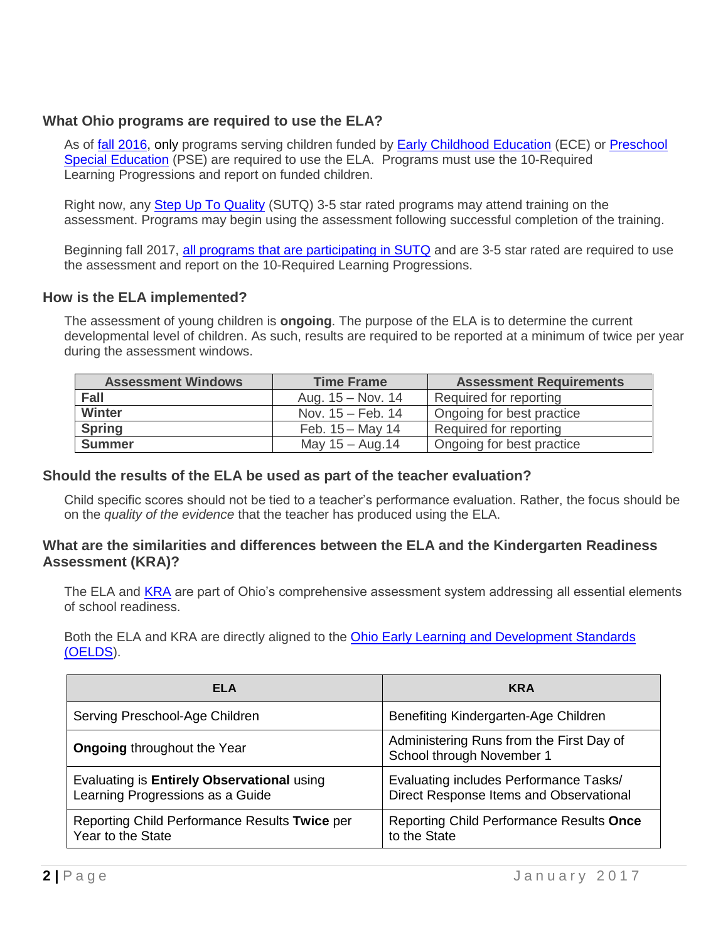#### **What Ohio programs are required to use the ELA?**

As of **fall 2016**, only programs serving children funded by **[Early Childhood Education](http://education.ohio.gov/Topics/Early-Learning/Early-Childhood-Education-Grant)** (ECE) or **Preschool** [Special Education](http://education.ohio.gov/Topics/Early-Learning/Preschool-Special-Education) (PSE) are required to use the ELA. Programs must use the 10-Required Learning Progressions and report on funded children.

Right now, any **[Step Up To Quality](http://education.ohio.gov/Topics/Early-Learning/Step-Up-To-Quality-SUTQ)** (SUTQ) 3-5 star rated programs may attend training on the assessment. Programs may begin using the assessment following successful completion of the training.

Beginning fall 2017, [all programs that are participating in SUTQ](http://jfs.ohio.gov/cdc/stepUpQuality.stm) and are 3-5 star rated are required to use the assessment and report on the 10-Required Learning Progressions.

#### **How is the ELA implemented?**

The assessment of young children is **ongoing**. The purpose of the ELA is to determine the current developmental level of children. As such, results are required to be reported at a minimum of twice per year during the assessment windows.

| <b>Assessment Windows</b> | <b>Time Frame</b>           | <b>Assessment Requirements</b> |
|---------------------------|-----------------------------|--------------------------------|
| <b>Fall</b>               | Aug. $15 - Nov. 14$         | Required for reporting         |
| <b>Winter</b>             | Nov. $15 - \text{Feb. } 14$ | Ongoing for best practice      |
| <b>Spring</b>             | Feb. $15 -$ May 14          | Required for reporting         |
| <b>Summer</b>             | May $15 -$ Aug.14           | Ongoing for best practice      |

#### **Should the results of the ELA be used as part of the teacher evaluation?**

Child specific scores should not be tied to a teacher's performance evaluation. Rather, the focus should be on the *quality of the evidence* that the teacher has produced using the ELA.

#### **What are the similarities and differences between the ELA and the Kindergarten Readiness Assessment (KRA)?**

The ELA and [KRA](http://education.ohio.gov/Topics/Early-Learning/Kindergarten/Ohios-Kindergarten-Readiness-Assessment) are part of Ohio's comprehensive assessment system addressing all essential elements of school readiness.

Both the ELA and KRA are directly aligned to the [Ohio Early Learning and Development Standards](http://education.ohio.gov/Topics/Early-Learning/Early-Learning-Content-Standards/Birth-Through-Pre_K-Learning-and-Development-Stand)  [\(OELDS\)](http://education.ohio.gov/Topics/Early-Learning/Early-Learning-Content-Standards/Birth-Through-Pre_K-Learning-and-Development-Stand).

| ELA                                                                            | <b>KRA</b>                                                                        |
|--------------------------------------------------------------------------------|-----------------------------------------------------------------------------------|
| Serving Preschool-Age Children                                                 | Benefiting Kindergarten-Age Children                                              |
| <b>Ongoing throughout the Year</b>                                             | Administering Runs from the First Day of<br>School through November 1             |
| Evaluating is Entirely Observational using<br>Learning Progressions as a Guide | Evaluating includes Performance Tasks/<br>Direct Response Items and Observational |
| Reporting Child Performance Results Twice per<br>Year to the State             | <b>Reporting Child Performance Results Once</b><br>to the State                   |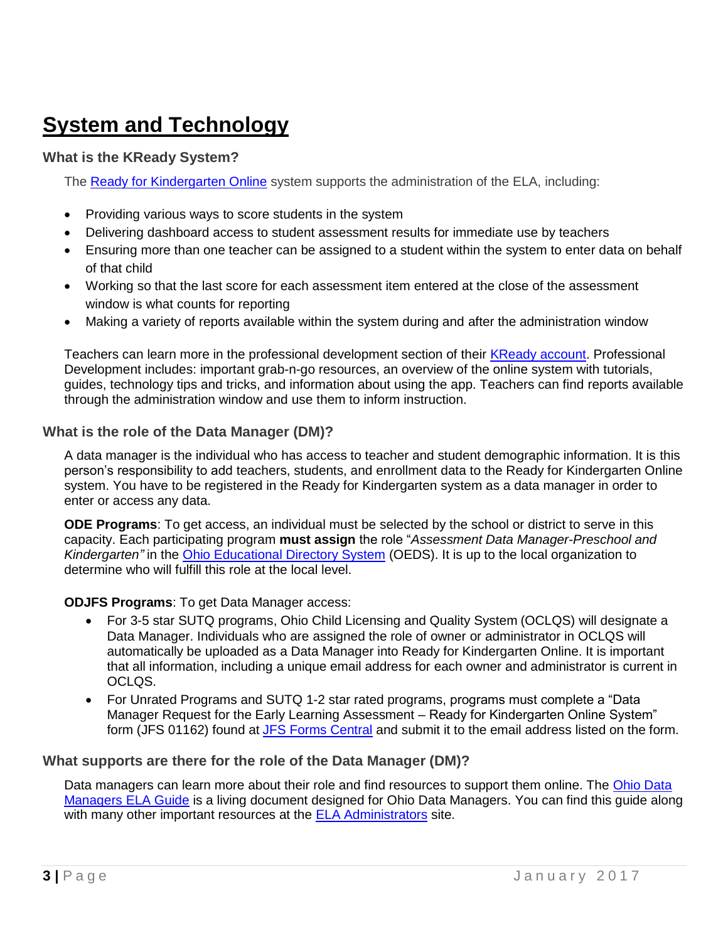### **System and Technology**

#### **What is the KReady System?**

The [Ready for Kindergarten Online](https://www.ohio-k12.help/) system supports the administration of the ELA, including:

- Providing various ways to score students in the system
- Delivering dashboard access to student assessment results for immediate use by teachers
- Ensuring more than one teacher can be assigned to a student within the system to enter data on behalf of that child
- Working so that the last score for each assessment item entered at the close of the assessment window is what counts for reporting
- Making a variety of reports available within the system during and after the administration window

Teachers can learn more in the professional development section of their [KReady account.](http://ohio.kready.org/login) Professional Development includes: important grab-n-go resources, an overview of the online system with tutorials, guides, technology tips and tricks, and information about using the app. Teachers can find reports available through the administration window and use them to inform instruction.

#### **What is the role of the Data Manager (DM)?**

A data manager is the individual who has access to teacher and student demographic information. It is this person's responsibility to add teachers, students, and enrollment data to the Ready for Kindergarten Online system. You have to be registered in the Ready for Kindergarten system as a data manager in order to enter or access any data.

**ODE Programs**: To get access, an individual must be selected by the school or district to serve in this capacity. Each participating program **must assign** the role "*Assessment Data Manager-Preschool and Kindergarten"* in the [Ohio Educational Directory System](http://education.ohio.gov/Topics/Data/Ohio-Educational-Directory-System-OEDS) (OEDS). It is up to the local organization to determine who will fulfill this role at the local level.

#### **ODJFS Programs**: To get Data Manager access:

- For 3-5 star SUTQ programs, [Ohio Child Licensing and Quality System](http://oclqs.ohio.gov/index.stm) (OCLQS) will designate a Data Manager. Individuals who are assigned the role of owner or administrator in OCLQS will automatically be uploaded as a Data Manager into Ready for Kindergarten Online. It is important that all information, including a unique email address for each owner and administrator is current in OCLQS.
- For Unrated Programs and SUTQ 1-2 star rated programs, programs must complete a "Data Manager Request for the Early Learning Assessment – Ready for Kindergarten Online System" form (JFS 01162) found at [JFS Forms Central](https://www.odjfs.state.oh.us/forms/inter.asp) and submit it to the email address listed on the form.

#### **What supports are there for the role of the Data Manager (DM)?**

Data managers can learn more about their role and find resources to support them online. The Ohio Data [Managers ELA](https://docs.google.com/document/d/12BGFPjDQd9UgsICc54EK_IZ4OM16H6utKw4c0dPd4Vg/edit) Guide is a living document designed for Ohio Data Managers. You can find this guide along with many other important resources at the ELA [Administrators](http://education.ohio.gov/Topics/Early-Learning/Kindergarten/Early-Learning-Assessment/Early-Learning-Assessment-for-Administrators) site.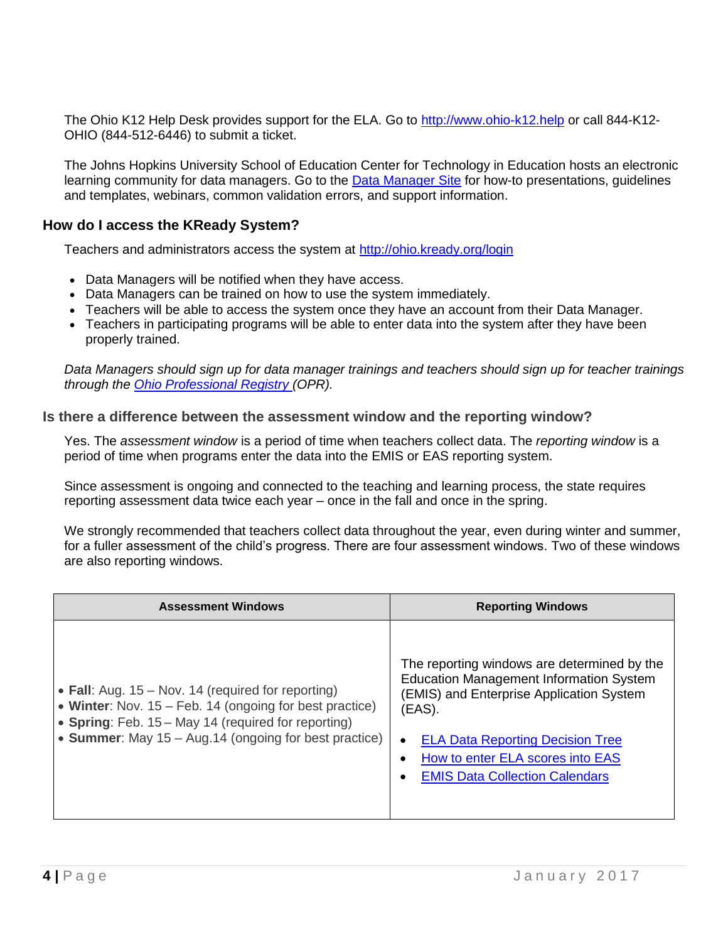The Ohio K12 Help Desk provides support for the ELA. Go to [http://www.ohio-k12.help](http://www.ohio-k12.help/) or call 844-K12- OHIO (844-512-6446) to submit a ticket.

The Johns Hopkins University School of Education Center for Technology in Education hosts an electronic learning community for data managers. Go to the [Data Manager Site](http://dataguidelines.kready.org/5129282) for how-to presentations, guidelines and templates, webinars, common validation errors, and support information.

#### **How do I access the KReady System?**

Teachers and administrators access the system at <http://ohio.kready.org/login>

- Data Managers will be notified when they have access.
- Data Managers can be trained on how to use the system immediately.
- Teachers will be able to access the system once they have an account from their Data Manager.
- Teachers in participating programs will be able to enter data into the system after they have been properly trained.

*Data Managers should sign up for data manager trainings and teachers should sign up for teacher trainings through the [Ohio Professional](http://www.registry.occrra.org/) Registry (OPR).* 

#### **Is there a difference between the assessment window and the reporting window?**

Yes. The *assessment window* is a period of time when teachers collect data. The *reporting window* is a period of time when programs enter the data into the EMIS or EAS reporting system.

Since assessment is ongoing and connected to the teaching and learning process, the state requires reporting assessment data twice each year – once in the fall and once in the spring.

We strongly recommended that teachers collect data throughout the year, even during winter and summer, for a fuller assessment of the child's progress. There are four assessment windows. Two of these windows are also reporting windows.

| <b>Assessment Windows</b>                                                                                                                                                                                                       | <b>Reporting Windows</b>                                                                                                                                                                                                                                                                        |
|---------------------------------------------------------------------------------------------------------------------------------------------------------------------------------------------------------------------------------|-------------------------------------------------------------------------------------------------------------------------------------------------------------------------------------------------------------------------------------------------------------------------------------------------|
| • Fall: Aug. $15 - Nov. 14$ (required for reporting)<br>• Winter: Nov. 15 – Feb. 14 (ongoing for best practice)<br>• Spring: Feb. 15 - May 14 (required for reporting)<br>• Summer: May 15 – Aug.14 (ongoing for best practice) | The reporting windows are determined by the<br><b>Education Management Information System</b><br>(EMIS) and Enterprise Application System<br>(EAS).<br><b>ELA Data Reporting Decision Tree</b><br>$\bullet$<br><b>How to enter ELA scores into EAS</b><br><b>EMIS Data Collection Calendars</b> |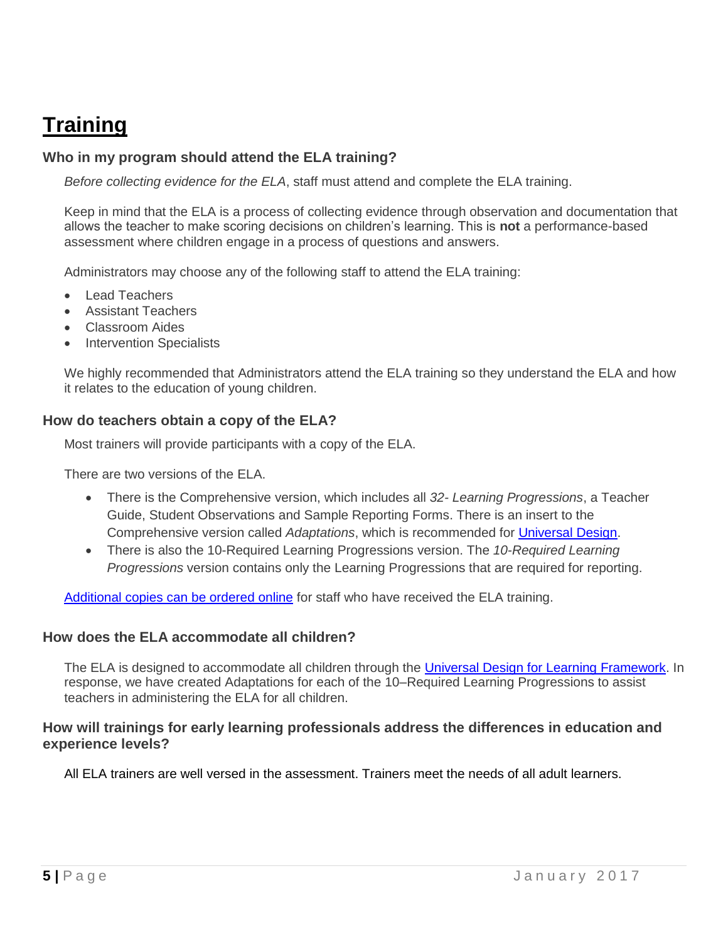## **Training**

#### **Who in my program should attend the ELA training?**

*Before collecting evidence for the ELA*, staff must attend and complete the ELA training.

Keep in mind that the ELA is a process of collecting evidence through observation and documentation that allows the teacher to make scoring decisions on children's learning. This is **not** a performance-based assessment where children engage in a process of questions and answers.

Administrators may choose any of the following staff to attend the ELA training:

- Lead Teachers
- Assistant Teachers
- Classroom Aides
- Intervention Specialists

We highly recommended that Administrators attend the ELA training so they understand the ELA and how it relates to the education of young children.

#### **How do teachers obtain a copy of the ELA?**

Most trainers will provide participants with a copy of the ELA.

There are two versions of the ELA.

- There is the Comprehensive version, which includes all *32- Learning Progressions*, a Teacher Guide, Student Observations and Sample Reporting Forms. There is an insert to the Comprehensive version called *Adaptations*, which is recommended for [Universal Design.](https://education.ohio.gov/getattachment/Topics/Other-Resources/Diverse-Learners/UDL-INTRO_MS_12-26-2013.pdf.aspx)
- There is also the 10-Required Learning Progressions version. The *10-Required Learning Progressions* version contains only the Learning Progressions that are required for reporting.

[Additional copies can be ordered online](http://www.odjfs.state.oh.us/forms/inter.asp) for staff who have received the ELA training.

#### **How does the ELA accommodate all children?**

The ELA is designed to accommodate all children through the [Universal Design for Learning Framework.](https://education.ohio.gov/getattachment/Topics/Other-Resources/Diverse-Learners/UDL-INTRO_MS_12-26-2013.pdf.aspx) In response, we have created Adaptations for each of the 10–Required Learning Progressions to assist teachers in administering the ELA for all children.

#### **How will trainings for early learning professionals address the differences in education and experience levels?**

All ELA trainers are well versed in the assessment. Trainers meet the needs of all adult learners.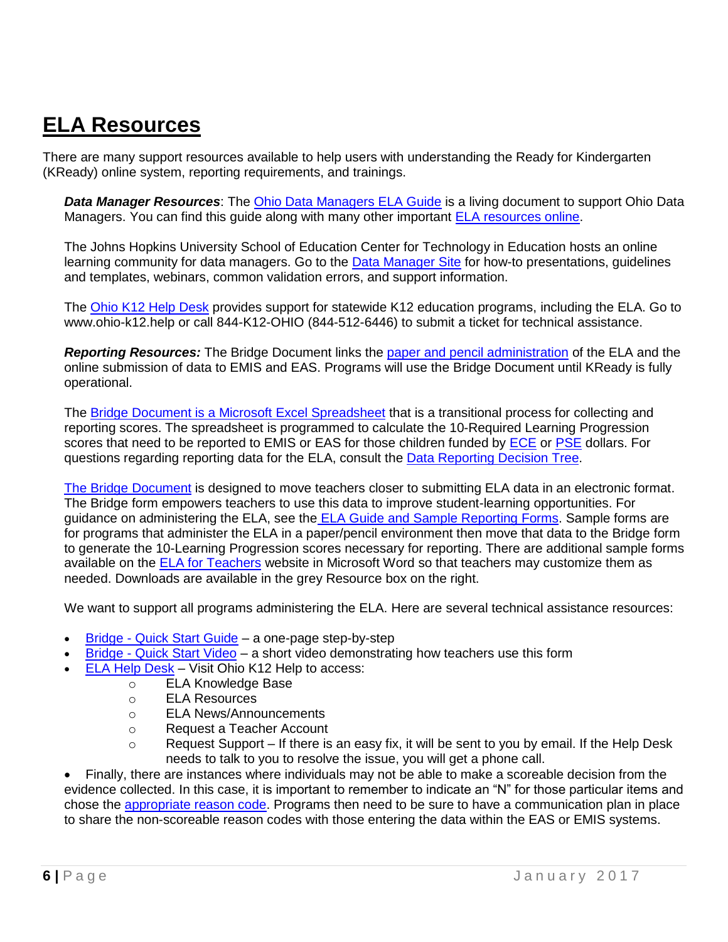### **ELA Resources**

There are many support resources available to help users with understanding the Ready for Kindergarten (KReady) online system, reporting requirements, and trainings.

*Data Manager Resources*: The [Ohio Data Managers ELA Guide](https://docs.google.com/document/d/12BGFPjDQd9UgsICc54EK_IZ4OM16H6utKw4c0dPd4Vg/edit) is a living document to support Ohio Data Managers. You can find this guide along with many other important [ELA resources online.](http://education.ohio.gov/Topics/Early-Learning/Kindergarten/Early-Learning-Assessment/Early-Learning-Assessment-for-Administrators)

The Johns Hopkins University School of Education Center for Technology in Education hosts an online learning community for data managers. Go to the [Data Manager Site](http://dataguidelines.kready.org/5129282) for how-to presentations, guidelines and templates, webinars, common validation errors, and support information.

The [Ohio K12 Help Desk](http://www.ohio-k12.help/) provides support for statewide K12 education programs, including the ELA. Go to www.ohio-k12.help or call 844-K12-OHIO (844-512-6446) to submit a ticket for technical assistance.

*Reporting Resources:* The Bridge Document links the [paper and pencil administration](http://education.ohio.gov/getattachment/Topics/Early-Learning/Kindergarten/Early-Learning-Assessment/Early-Learning-Assessment-for-Administrators/Early-Learning-Assessment-Bridge-Document-Print-Version.docx.aspx) of the ELA and the online submission of data to EMIS and EAS. Programs will use the Bridge Document until KReady is fully operational.

The Bridge Document [is a Microsoft Excel Spreadsheet](http://education.ohio.gov/getattachment/Topics/Early-Learning/Kindergarten/Early-Learning-Assessment/Early-Learning-Assessment-for-Administrators/Early-Learning-Assessment-Bridge-Document.xlsx.aspx) that is a transitional process for collecting and reporting scores. The spreadsheet is programmed to calculate the 10-Required Learning Progression scores that need to be reported to EMIS or EAS for those children funded by [ECE](http://education.ohio.gov/Topics/Early-Learning/Early-Childhood-Education-Grant) or [PSE](http://education.ohio.gov/Topics/Early-Learning/Preschool-Special-Education) dollars. For questions regarding reporting data for the ELA, consult the Data [Reporting Decision Tree.](http://education.ohio.gov/getattachment/Topics/Early-Learning/Kindergarten/Early-Learning-Assessment/Early-Learning-Assessment-for-Programs-1/Early-Learning-Assessment-Data-Reporting-Decision-Tree.pdf.aspx)

The [Bridge Document](http://education.ohio.gov/getattachment/Topics/Early-Learning/Kindergarten/Early-Learning-Assessment/Early-Learning-Assessment-for-Administrators/Early-Learning-Assessment-Bridge-Document.xlsx.aspx) is designed to move teachers closer to submitting ELA data in an electronic format. The Bridge form empowers teachers to use this data to improve student-learning opportunities. For guidance on administering the ELA, see the [ELA Guide and Sample Reporting Forms.](http://education.ohio.gov/getattachment/Topics/Early-Learning/Guidance-About-Kindergarten/Early-Learning-Assessment/Early-Learning-Assessment-for-Programs-1/ELA-Guide-and-Sample-Reporting-Forms.pdf.aspx) Sample forms are for programs that administer the ELA in a paper/pencil environment then move that data to the Bridge form to generate the 10-Learning Progression scores necessary for reporting. There are additional sample forms available on the [ELA for Teachers](http://education.ohio.gov/Topics/Early-Learning/Kindergarten/Early-Learning-Assessment/Early-Learning-Assessment-for-Programs-1) website in Microsoft Word so that teachers may customize them as needed. Downloads are available in the grey Resource box on the right.

We want to support all programs administering the ELA. Here are several technical assistance resources:

- Bridge [Quick Start Guide](http://education.ohio.gov/getattachment/Topics/Early-Learning/Kindergarten/Early-Learning-Assessment/Early-Learning-Assessment-for-Administrators/BridgeForm_QuickStart.pdf.aspx) a one-page step-by-step
- Bridge [Quick Start Video](https://www.ohio-k12.help/assets/krvideos16/Bridge_Form_Assistance041116.mp4) a short video demonstrating how teachers use this form
- ELA [Help Desk](https://www.ohio-k12.help/earlychild/) Visit Ohio K12 Help to access:
	- o ELA Knowledge Base
		- o ELA Resources
		- o ELA News/Announcements
	- o Request a Teacher Account
	- $\circ$  Request Support If there is an easy fix, it will be sent to you by email. If the Help Desk needs to talk to you to resolve the issue, you will get a phone call.

 Finally, there are instances where individuals may not be able to make a scoreable decision from the evidence collected. In this case, it is important to remember to indicate an "N" for those particular items and chose the [appropriate reason code.](https://education.ohio.gov/getattachment/Topics/Early-Learning/Kindergarten/Early-Learning-Assessment/Early-Learning-Assessment-for-Programs-1/ELA-Reason-Code-Message.pdf.aspx) Programs then need to be sure to have a communication plan in place to share the non-scoreable reason codes with those entering the data within the EAS or EMIS systems.